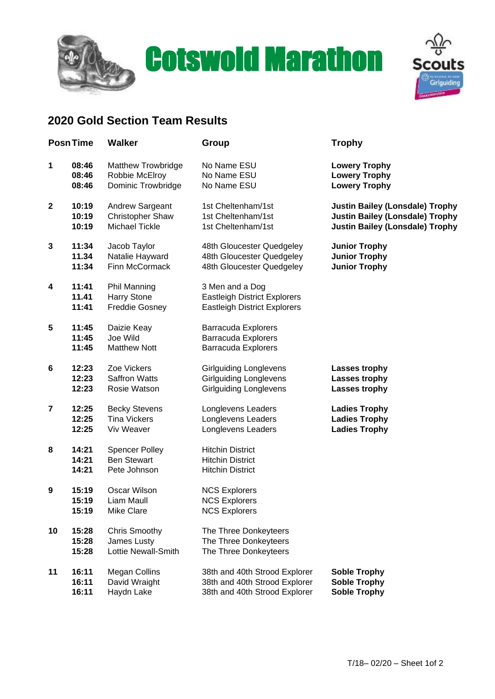

## **Cotswold Marathon Scouts**



## **2020 Gold Section Team Results**

| <b>PosnTime</b>  |                         | <b>Walker</b>                                                      | Group                                                                                         | <b>Trophy</b>                          |  |
|------------------|-------------------------|--------------------------------------------------------------------|-----------------------------------------------------------------------------------------------|----------------------------------------|--|
| 1                | 08:46                   | <b>Matthew Trowbridge</b>                                          | No Name ESU                                                                                   | <b>Lowery Trophy</b>                   |  |
|                  | 08:46                   | Robbie McElroy                                                     | No Name ESU                                                                                   | <b>Lowery Trophy</b>                   |  |
|                  | 08:46                   | <b>Dominic Trowbridge</b>                                          | No Name ESU                                                                                   | <b>Lowery Trophy</b>                   |  |
| $\mathbf{2}$     | 10:19                   | Andrew Sargeant                                                    | 1st Cheltenham/1st                                                                            | <b>Justin Bailey (Lonsdale) Trophy</b> |  |
|                  | 10:19                   | <b>Christopher Shaw</b>                                            | 1st Cheltenham/1st                                                                            | <b>Justin Bailey (Lonsdale) Trophy</b> |  |
|                  | 10:19                   | Michael Tickle                                                     | 1st Cheltenham/1st                                                                            | <b>Justin Bailey (Lonsdale) Trophy</b> |  |
| 3                | 11:34                   | Jacob Taylor                                                       | 48th Gloucester Quedgeley                                                                     | <b>Junior Trophy</b>                   |  |
|                  | 11.34                   | Natalie Hayward                                                    | 48th Gloucester Quedgeley                                                                     | <b>Junior Trophy</b>                   |  |
|                  | 11:34                   | Finn McCormack                                                     | 48th Gloucester Quedgeley                                                                     | <b>Junior Trophy</b>                   |  |
| 4                | 11:41<br>11.41<br>11:41 | <b>Phil Manning</b><br><b>Harry Stone</b><br><b>Freddie Gosney</b> | 3 Men and a Dog<br><b>Eastleigh District Explorers</b><br><b>Eastleigh District Explorers</b> |                                        |  |
| 5                | 11:45<br>11:45<br>11:45 | Daizie Keay<br>Joe Wild<br><b>Matthew Nott</b>                     | <b>Barracuda Explorers</b><br><b>Barracuda Explorers</b><br><b>Barracuda Explorers</b>        |                                        |  |
| 6                | 12:23                   | Zoe Vickers                                                        | <b>Girlguiding Longlevens</b>                                                                 | <b>Lasses trophy</b>                   |  |
|                  | 12:23                   | <b>Saffron Watts</b>                                               | <b>Girlguiding Longlevens</b>                                                                 | Lasses trophy                          |  |
|                  | 12:23                   | Rosie Watson                                                       | <b>Girlguiding Longlevens</b>                                                                 | Lasses trophy                          |  |
| 7                | 12:25                   | <b>Becky Stevens</b>                                               | Longlevens Leaders                                                                            | <b>Ladies Trophy</b>                   |  |
|                  | 12:25                   | <b>Tina Vickers</b>                                                | Longlevens Leaders                                                                            | <b>Ladies Trophy</b>                   |  |
|                  | 12:25                   | Viv Weaver                                                         | Longlevens Leaders                                                                            | <b>Ladies Trophy</b>                   |  |
| 8                | 14:21<br>14:21<br>14:21 | <b>Spencer Polley</b><br><b>Ben Stewart</b><br>Pete Johnson        | <b>Hitchin District</b><br><b>Hitchin District</b><br><b>Hitchin District</b>                 |                                        |  |
| $\boldsymbol{9}$ | 15:19<br>15:19<br>15:19 | Oscar Wilson<br>Liam Maull<br>Mike Clare                           | <b>NCS Explorers</b><br><b>NCS Explorers</b><br><b>NCS Explorers</b>                          |                                        |  |
| 10               | 15:28<br>15:28<br>15:28 | <b>Chris Smoothy</b><br>James Lusty<br>Lottie Newall-Smith         | The Three Donkeyteers<br>The Three Donkeyteers<br>The Three Donkeyteers                       |                                        |  |
| 11               | 16:11                   | <b>Megan Collins</b>                                               | 38th and 40th Strood Explorer                                                                 | <b>Soble Trophy</b>                    |  |
|                  | 16:11                   | David Wraight                                                      | 38th and 40th Strood Explorer                                                                 | <b>Soble Trophy</b>                    |  |
|                  | 16:11                   | Haydn Lake                                                         | 38th and 40th Strood Explorer                                                                 | <b>Soble Trophy</b>                    |  |